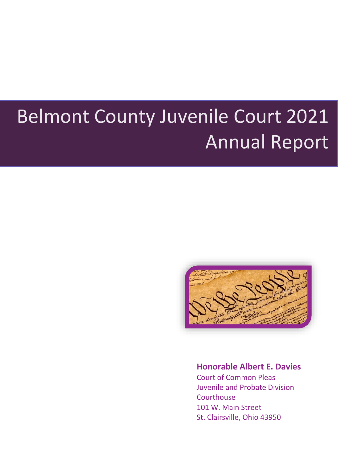## <span id="page-0-0"></span>Belmont County Juvenile Court 2021 Annual Report



#### **Honorable Albert E. Davies**

Court of Common Pleas Juvenile and Probate Division **Courthouse** 101 W. Main Street St. Clairsville, Ohio 43950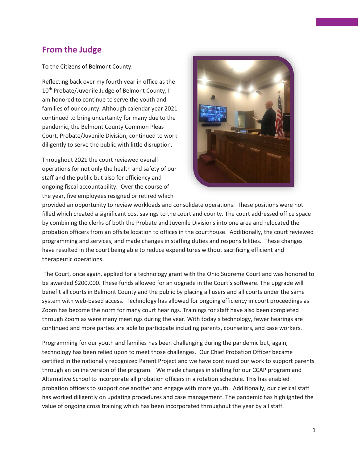#### **From the Judge**

To the Citizens of Belmont County:

Reflecting back over my fourth year in office as the 10<sup>th</sup> Probate/Juvenile Judge of Belmont County, I am honored to continue to serve the youth and families of our county. Although calendar year 2021 continued to bring uncertainty for many due to the pandemic, the Belmont County Common Pleas Court, Probate/Juvenile Division, continued to work diligently to serve the public with little disruption.

Throughout 2021 the court reviewed overall operations for not only the health and safety of our staff and the public but also for efficiency and ongoing fiscal accountability. Over the course of the year, five employees resigned or retired which



provided an opportunity to review workloads and consolidate operations. These positions were not filled which created a significant cost savings to the court and county. The court addressed office space by combining the clerks of both the Probate and Juvenile Divisions into one area and relocated the probation officers from an offsite location to offices in the courthouse. Additionally, the court reviewed programming and services, and made changes in staffing duties and responsibilities. These changes have resulted in the court being able to reduce expenditures without sacrificing efficient and therapeutic operations.

The Court, once again, applied for a technology grant with the Ohio Supreme Court and was honored to be awarded \$200,000. These funds allowed for an upgrade in the Court's software. The upgrade will benefit all courts in Belmont County and the public by placing all users and all courts under the same system with web-based access. Technology has allowed for ongoing efficiency in court proceedings as Zoom has become the norm for many court hearings. Trainings for staff have also been completed through Zoom as were many meetings during the year. With today's technology, fewer hearings are continued and more parties are able to participate including parents, counselors, and case workers.

Programming for our youth and families has been challenging during the pandemic but, again, technology has been relied upon to meet those challenges. Our Chief Probation Officer became certified in the nationally recognized Parent Project and we have continued our work to support parents through an online version of the program. We made changes in staffing for our CCAP program and Alternative School to incorporate all probation officers in a rotation schedule. This has enabled probation officers to support one another and engage with more youth. Additionally, our clerical staff has worked diligently on updating procedures and case management. The pandemic has highlighted the value of ongoing cross training which has been incorporated throughout the year by all staff.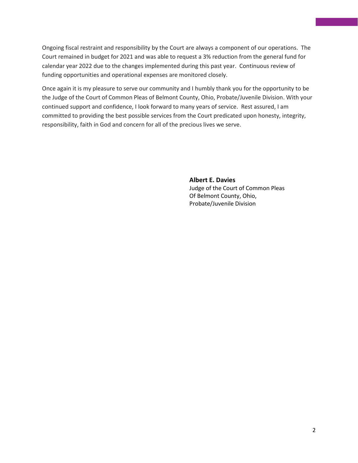Ongoing fiscal restraint and responsibility by the Court are always a component of our operations. The Court remained in budget for 2021 and was able to request a 3% reduction from the general fund for calendar year 2022 due to the changes implemented during this past year. Continuous review of funding opportunities and operational expenses are monitored closely.

Once again it is my pleasure to serve our community and I humbly thank you for the opportunity to be the Judge of the Court of Common Pleas of Belmont County, Ohio, Probate/Juvenile Division. With your continued support and confidence, I look forward to many years of service. Rest assured, I am committed to providing the best possible services from the Court predicated upon honesty, integrity, responsibility, faith in God and concern for all of the precious lives we serve.

> **Albert E. Davies** Judge of the Court of Common Pleas Of Belmont County, Ohio, Probate/Juvenile Division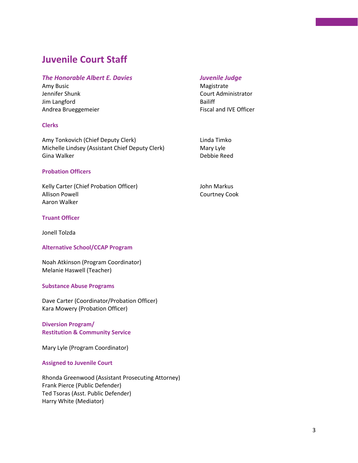## **Juvenile Court Staff**

#### *The Honorable Albert E. Davies Juvenile Judge*

Amy Busic **Magistrate** Magistrate Jennifer Shunk Court Administrator Jim Langford Bailiff Andrea Brueggemeier **Fiscal and IVE Officer** Fiscal and IVE Officer

#### **Clerks**

Amy Tonkovich (Chief Deputy Clerk) Linda Timko Michelle Lindsey (Assistant Chief Deputy Clerk) Mary Lyle Gina Walker Debbie Reed

#### **Probation Officers**

Kelly Carter (Chief Probation Officer) Show Markus Allison Powell **Allison** Powell **Courtney Cook** Aaron Walker

#### **Truant Officer**

Jonell Tolzda

#### **Alternative School/CCAP Program**

Noah Atkinson (Program Coordinator) Melanie Haswell (Teacher)

#### **Substance Abuse Programs**

Dave Carter (Coordinator/Probation Officer) Kara Mowery (Probation Officer)

#### **Diversion Program/ Restitution & Community Service**

Mary Lyle (Program Coordinator)

#### **Assigned to Juvenile Court**

Rhonda Greenwood (Assistant Prosecuting Attorney) Frank Pierce (Public Defender) Ted Tsoras (Asst. Public Defender) Harry White (Mediator)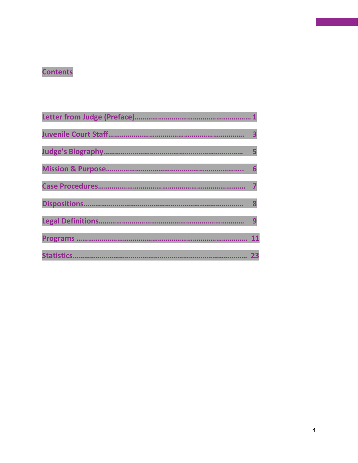## **Contents**

|                    | 3  |
|--------------------|----|
|                    |    |
|                    |    |
|                    |    |
|                    |    |
|                    |    |
|                    | 11 |
| <b>Statistics.</b> | 23 |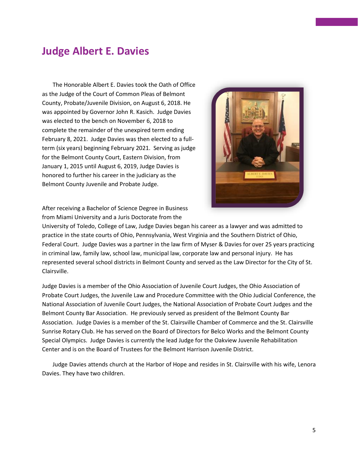## **Judge Albert E. Davies**

The Honorable Albert E. Davies took the Oath of Office as the Judge of the Court of Common Pleas of Belmont County, Probate/Juvenile Division, on August 6, 2018. He was appointed by Governor John R. Kasich. Judge Davies was elected to the bench on November 6, 2018 to complete the remainder of the unexpired term ending February 8, 2021. Judge Davies was then elected to a fullterm (six years) beginning February 2021. Serving as judge for the Belmont County Court, Eastern Division, from January 1, 2015 until August 6, 2019, Judge Davies is honored to further his career in the judiciary as the Belmont County Juvenile and Probate Judge.



After receiving a Bachelor of Science Degree in Business from Miami University and a Juris Doctorate from the

University of Toledo, College of Law, Judge Davies began his career as a lawyer and was admitted to practice in the state courts of Ohio, Pennsylvania, West Virginia and the Southern District of Ohio, Federal Court. Judge Davies was a partner in the law firm of Myser & Davies for over 25 years practicing in criminal law, family law, school law, municipal law, corporate law and personal injury. He has represented several school districts in Belmont County and served as the Law Director for the City of St. Clairsville.

Judge Davies is a member of the Ohio Association of Juvenile Court Judges, the Ohio Association of Probate Court Judges, the Juvenile Law and Procedure Committee with the Ohio Judicial Conference, the National Association of Juvenile Court Judges, the National Association of Probate Court Judges and the Belmont County Bar Association. He previously served as president of the Belmont County Bar Association. Judge Davies is a member of the St. Clairsville Chamber of Commerce and the St. Clairsville Sunrise Rotary Club. He has served on the Board of Directors for Belco Works and the Belmont County Special Olympics. Judge Davies is currently the lead Judge for the Oakview Juvenile Rehabilitation Center and is on the Board of Trustees for the Belmont Harrison Juvenile District.

Judge Davies attends church at the Harbor of Hope and resides in St. Clairsville with his wife, Lenora Davies. They have two children.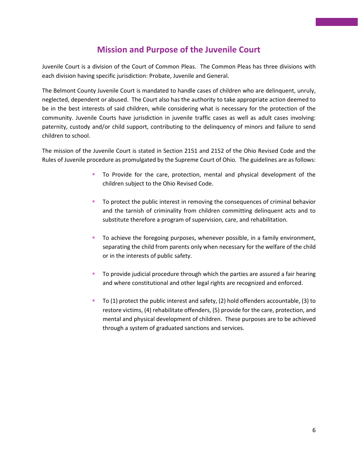### **Mission and Purpose of the Juvenile Court**

Juvenile Court is a division of the Court of Common Pleas. The Common Pleas has three divisions with each division having specific jurisdiction: Probate, Juvenile and General.

The Belmont County Juvenile Court is mandated to handle cases of children who are delinquent, unruly, neglected, dependent or abused. The Court also has the authority to take appropriate action deemed to be in the best interests of said children, while considering what is necessary for the protection of the community. Juvenile Courts have jurisdiction in juvenile traffic cases as well as adult cases involving: paternity, custody and/or child support, contributing to the delinquency of minors and failure to send children to school.

The mission of the Juvenile Court is stated in Section 2151 and 2152 of the Ohio Revised Code and the Rules of Juvenile procedure as promulgated by the Supreme Court of Ohio. The guidelines are as follows:

- To Provide for the care, protection, mental and physical development of the children subject to the Ohio Revised Code.
- To protect the public interest in removing the consequences of criminal behavior and the tarnish of criminality from children committing delinquent acts and to substitute therefore a program of supervision, care, and rehabilitation.
- **•** To achieve the foregoing purposes, whenever possible, in a family environment, separating the child from parents only when necessary for the welfare of the child or in the interests of public safety.
- **•** To provide judicial procedure through which the parties are assured a fair hearing and where constitutional and other legal rights are recognized and enforced.
- To  $(1)$  protect the public interest and safety,  $(2)$  hold offenders accountable,  $(3)$  to restore victims, (4) rehabilitate offenders, (5) provide for the care, protection, and mental and physical development of children. These purposes are to be achieved through a system of graduated sanctions and services.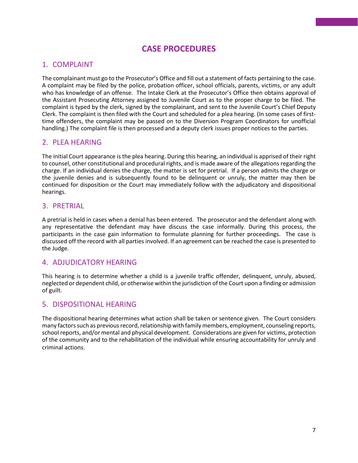### **CASE PROCEDURES**

#### 1. COMPLAINT

The complainant must go to the Prosecutor's Office and fill out a statement of facts pertaining to the case. A complaint may be filed by the police, probation officer, school officials, parents, victims, or any adult who has knowledge of an offense. The Intake Clerk at the Prosecutor's Office then obtains approval of the Assistant Prosecuting Attorney assigned to Juvenile Court as to the proper charge to be filed. The complaint is typed by the clerk, signed by the complainant, and sent to the Juvenile Court's Chief Deputy Clerk. The complaint is then filed with the Court and scheduled for a plea hearing. (In some cases of firsttime offenders, the complaint may be passed on to the Diversion Program Coordinators for unofficial handling.) The complaint file is then processed and a deputy clerk issues proper notices to the parties.

#### 2. PLEA HEARING

The initial Court appearance is the plea hearing. During this hearing, an individual is apprised of their right to counsel, other constitutional and procedural rights, and is made aware of the allegations regarding the charge. If an individual denies the charge, the matter is set for pretrial. If a person admits the charge or the juvenile denies and is subsequently found to be delinquent or unruly, the matter may then be continued for disposition or the Court may immediately follow with the adjudicatory and dispositional hearings.

#### 3. PRETRIAL

A pretrial is held in cases when a denial has been entered. The prosecutor and the defendant along with any representative the defendant may have discuss the case informally. During this process, the participants in the case gain information to formulate planning for further proceedings. The case is discussed off the record with all parties involved. If an agreement can be reached the case is presented to the Judge.

#### 4. ADJUDICATORY HEARING

This hearing is to determine whether a child is a juvenile traffic offender, delinquent, unruly, abused, neglected or dependent child, or otherwise within the jurisdiction of the Court upon a finding or admission of guilt.

#### 5. DISPOSITIONAL HEARING

The dispositional hearing determines what action shall be taken or sentence given. The Court considers many factors such as previous record, relationship with family members, employment, counseling reports, school reports, and/or mental and physical development. Considerations are given for victims, protection of the community and to the rehabilitation of the individual while ensuring accountability for unruly and criminal actions.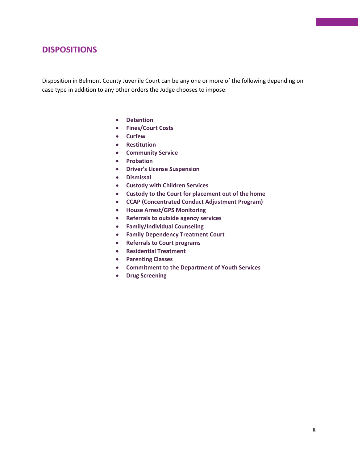#### **DISPOSITIONS**

Disposition in Belmont County Juvenile Court can be any one or more of the following depending on case type in addition to any other orders the Judge chooses to impose:

- **Detention**
- **Fines/Court Costs**
- **Curfew**
- **Restitution**
- **Community Service**
- **Probation**
- **Driver's License Suspension**
- **Dismissal**
- **Custody with Children Services**
- **Custody to the Court for placement out of the home**
- **CCAP (Concentrated Conduct Adjustment Program)**
- **House Arrest/GPS Monitoring**
- **Referrals to outside agency services**
- **Family/Individual Counseling**
- **Family Dependency Treatment Court**
- **Referrals to Court programs**
- **Residential Treatment**
- **Parenting Classes**
- **Commitment to the Department of Youth Services**
- **Drug Screening**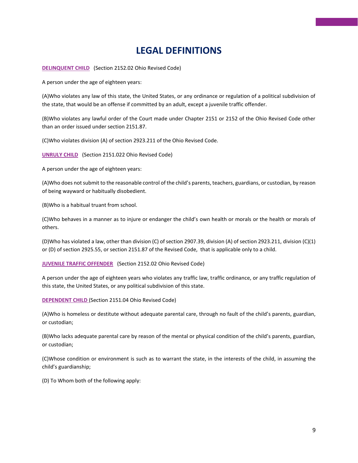## **LEGAL DEFINITIONS**

**DELINQUENT CHILD** (Section 2152.02 Ohio Revised Code)

A person under the age of eighteen years:

(A)Who violates any law of this state, the United States, or any ordinance or regulation of a political subdivision of the state, that would be an offense if committed by an adult, except a juvenile traffic offender.

(B)Who violates any lawful order of the Court made under Chapter 2151 or 2152 of the Ohio Revised Code other than an order issued under section 2151.87.

(C)Who violates division (A) of section 2923.211 of the Ohio Revised Code.

**UNRULY CHILD** (Section 2151.022 Ohio Revised Code)

A person under the age of eighteen years:

(A)Who does not submit to the reasonable control of the child's parents, teachers, guardians, or custodian, by reason of being wayward or habitually disobedient.

(B)Who is a habitual truant from school.

(C)Who behaves in a manner as to injure or endanger the child's own health or morals or the health or morals of others.

(D)Who has violated a law, other than division (C) of section 2907.39, division (A) of section 2923.211, division (C)(1) or (D) of section 2925.55, or section 2151.87 of the Revised Code, that is applicable only to a child.

**JUVENILE TRAFFIC OFFENDER** (Section 2152.02 Ohio Revised Code)

A person under the age of eighteen years who violates any traffic law, traffic ordinance, or any traffic regulation of this state, the United States, or any political subdivision of this state.

**DEPENDENT CHILD** (Section 2151.04 Ohio Revised Code)

(A)Who is homeless or destitute without adequate parental care, through no fault of the child's parents, guardian, or custodian;

(B)Who lacks adequate parental care by reason of the mental or physical condition of the child's parents, guardian, or custodian;

(C)Whose condition or environment is such as to warrant the state, in the interests of the child, in assuming the child's guardianship;

(D) To Whom both of the following apply: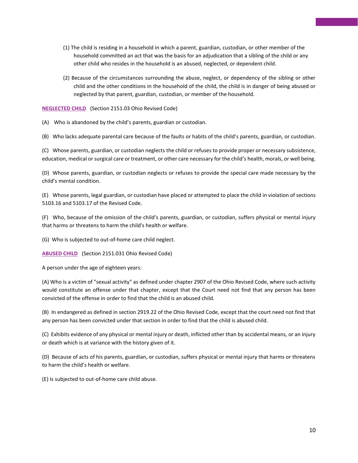- (1) The child is residing in a household in which a parent, guardian, custodian, or other member of the household committed an act that was the basis for an adjudication that a sibling of the child or any other child who resides in the household is an abused, neglected, or dependent child.
- (2) Because of the circumstances surrounding the abuse, neglect, or dependency of the sibling or other child and the other conditions in the household of the child, the child is in danger of being abused or neglected by that parent, guardian, custodian, or member of the household.

**NEGLECTED CHILD** (Section 2151.03 Ohio Revised Code)

(A) Who is abandoned by the child's parents, guardian or custodian.

(B) Who lacks adequate parental care because of the faults or habits of the child's parents, guardian, or custodian.

(C) Whose parents, guardian, or custodian neglects the child or refuses to provide proper or necessary subsistence, education, medical or surgical care or treatment, or other care necessary for the child's health, morals, or well being.

(D) Whose parents, guardian, or custodian neglects or refuses to provide the special care made necessary by the child's mental condition.

(E) Whose parents, legal guardian, or custodian have placed or attempted to place the child in violation of sections 5103.16 and 5103.17 of the Revised Code.

(F) Who, because of the omission of the child's parents, guardian, or custodian, suffers physical or mental injury that harms or threatens to harm the child's health or welfare.

(G) Who is subjected to out-of-home care child neglect.

**ABUSED CHILD** (Section 2151.031 Ohio Revised Code)

A person under the age of eighteen years:

(A) Who is a victim of "sexual activity" as defined under chapter 2907 of the Ohio Revised Code, where such activity would constitute an offense under that chapter, except that the Court need not find that any person has been convicted of the offense in order to find that the child is an abused child.

(B) In endangered as defined in section 2919.22 of the Ohio Revised Code, except that the court need not find that any person has been convicted under that section in order to find that the child is abused child.

(C) Exhibits evidence of any physical or mental injury or death, inflicted other than by accidental means, or an injury or death which is at variance with the history given of it.

(D) Because of acts of his parents, guardian, or custodian, suffers physical or mental injury that harms or threatens to harm the child's health or welfare.

(E) Is subjected to out-of-home care child abuse.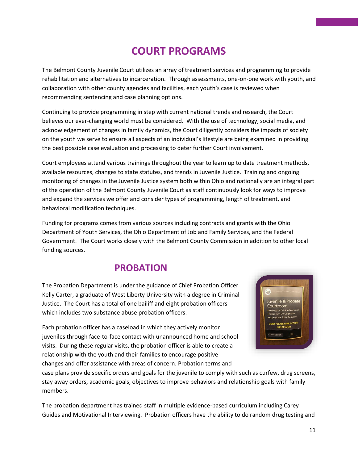## **COURT PROGRAMS**

The Belmont County Juvenile Court utilizes an array of treatment services and programming to provide rehabilitation and alternatives to incarceration. Through assessments, one-on-one work with youth, and collaboration with other county agencies and facilities, each youth's case is reviewed when recommending sentencing and case planning options.

Continuing to provide programming in step with current national trends and research, the Court believes our ever-changing world must be considered. With the use of technology, social media, and acknowledgement of changes in family dynamics, the Court diligently considers the impacts of society on the youth we serve to ensure all aspects of an individual's lifestyle are being examined in providing the best possible case evaluation and processing to deter further Court involvement.

Court employees attend various trainings throughout the year to learn up to date treatment methods, available resources, changes to state statutes, and trends in Juvenile Justice. Training and ongoing monitoring of changes in the Juvenile Justice system both within Ohio and nationally are an integral part of the operation of the Belmont County Juvenile Court as staff continuously look for ways to improve and expand the services we offer and consider types of programming, length of treatment, and behavioral modification techniques.

Funding for programs comes from various sources including contracts and grants with the Ohio Department of Youth Services, the Ohio Department of Job and Family Services, and the Federal Government. The Court works closely with the Belmont County Commission in addition to other local funding sources.

## **PROBATION**

The Probation Department is under the guidance of Chief Probation Officer Kelly Carter, a graduate of West Liberty University with a degree in Criminal Justice. The Court has a total of one bailiff and eight probation officers which includes two substance abuse probation officers.

Each probation officer has a caseload in which they actively monitor juveniles through face-to-face contact with unannounced home and school visits. During these regular visits, the probation officer is able to create a relationship with the youth and their families to encourage positive changes and offer assistance with areas of concern. Probation terms and



case plans provide specific orders and goals for the juvenile to comply with such as curfew, drug screens, stay away orders, academic goals, objectives to improve behaviors and relationship goals with family members.

The probation department has trained staff in multiple evidence-based curriculum including Carey Guides and Motivational Interviewing. Probation officers have the ability to do random drug testing and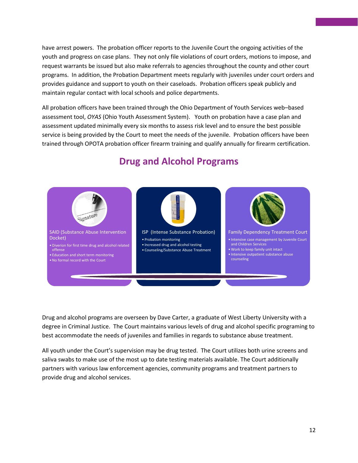have arrest powers. The probation officer reports to the Juvenile Court the ongoing activities of the youth and progress on case plans. They not only file violations of court orders, motions to impose, and request warrants be issued but also make referrals to agencies throughout the county and other court programs. In addition, the Probation Department meets regularly with juveniles under court orders and provides guidance and support to youth on their caseloads. Probation officers speak publicly and maintain regular contact with local schools and police departments.

All probation officers have been trained through the Ohio Department of Youth Services web–based assessment tool, *OYAS* (Ohio Youth Assessment System). Youth on probation have a case plan and assessment updated minimally every six months to assess risk level and to ensure the best possible service is being provided by the Court to meet the needs of the juvenile. Probation officers have been trained through OPOTA probation officer firearm training and qualify annually for firearm certification.



## **Drug and Alcohol Programs**

Drug and alcohol programs are overseen by Dave Carter, a graduate of West Liberty University with a degree in Criminal Justice. The Court maintains various levels of drug and alcohol specific programing to best accommodate the needs of juveniles and families in regards to substance abuse treatment.

All youth under the Court's supervision may be drug tested. The Court utilizes both urine screens and saliva swabs to make use of the most up to date testing materials available. The Court additionally partners with various law enforcement agencies, community programs and treatment partners to provide drug and alcohol services.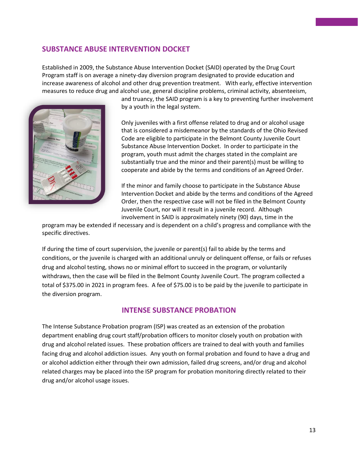#### **SUBSTANCE ABUSE INTERVENTION DOCKET**

Established in 2009, the Substance Abuse Intervention Docket (SAID) operated by the Drug Court Program staff is on average a ninety-day diversion program designated to provide education and increase awareness of alcohol and other drug prevention treatment. With early, effective intervention measures to reduce drug and alcohol use, general discipline problems, criminal activity, absenteeism,



and truancy, the SAID program is a key to preventing further involvement by a youth in the legal system.

Only juveniles with a first offense related to drug and or alcohol usage that is considered a misdemeanor by the standards of the Ohio Revised Code are eligible to participate in the Belmont County Juvenile Court Substance Abuse Intervention Docket. In order to participate in the program, youth must admit the charges stated in the complaint are substantially true and the minor and their parent(s) must be willing to cooperate and abide by the terms and conditions of an Agreed Order.

If the minor and family choose to participate in the Substance Abuse Intervention Docket and abide by the terms and conditions of the Agreed Order, then the respective case will not be filed in the Belmont County Juvenile Court, nor will it result in a juvenile record. Although involvement in SAID is approximately ninety (90) days, time in the

program may be extended if necessary and is dependent on a child's progress and compliance with the specific directives.

If during the time of court supervision, the juvenile or parent(s) fail to abide by the terms and conditions, or the juvenile is charged with an additional unruly or delinquent offense, or fails or refuses drug and alcohol testing, shows no or minimal effort to succeed in the program, or voluntarily withdraws, then the case will be filed in the Belmont County Juvenile Court. The program collected a total of \$375.00 in 2021 in program fees. A fee of \$75.00 is to be paid by the juvenile to participate in the diversion program.

#### **INTENSE SUBSTANCE PROBATION**

The Intense Substance Probation program (ISP) was created as an extension of the probation department enabling drug court staff/probation officers to monitor closely youth on probation with drug and alcohol related issues. These probation officers are trained to deal with youth and families facing drug and alcohol addiction issues. Any youth on formal probation and found to have a drug and or alcohol addiction either through their own admission, failed drug screens, and/or drug and alcohol related charges may be placed into the ISP program for probation monitoring directly related to their drug and/or alcohol usage issues.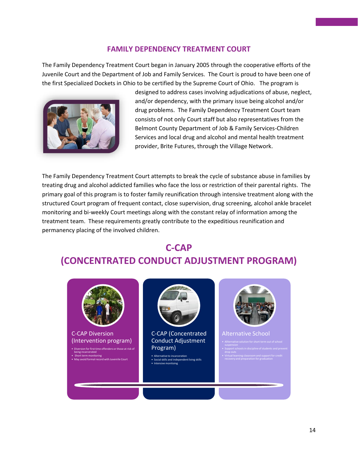#### **FAMILY DEPENDENCY TREATMENT COURT**

The Family Dependency Treatment Court began in January 2005 through the cooperative efforts of the Juvenile Court and the Department of Job and Family Services. The Court is proud to have been one of the first Specialized Dockets in Ohio to be certified by the Supreme Court of Ohio. The program is



designed to address cases involving adjudications of abuse, neglect, and/or dependency, with the primary issue being alcohol and/or drug problems. The Family Dependency Treatment Court team consists of not only Court staff but also representatives from the Belmont County Department of Job & Family Services-Children Services and local drug and alcohol and mental health treatment provider, Brite Futures, through the Village Network.

The Family Dependency Treatment Court attempts to break the cycle of substance abuse in families by treating drug and alcohol addicted families who face the loss or restriction of their parental rights. The primary goal of this program is to foster family reunification through intensive treatment along with the structured Court program of frequent contact, close supervision, drug screening, alcohol ankle bracelet monitoring and bi-weekly Court meetings along with the constant relay of information among the treatment team. These requirements greatly contribute to the expeditious reunification and permanency placing of the involved children.

## **C-CAP (CONCENTRATED CONDUCT ADJUSTMENT PROGRAM)**

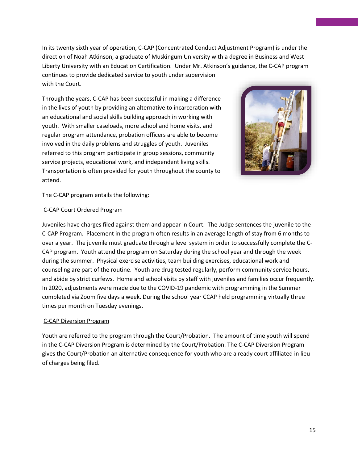In its twenty sixth year of operation, C-CAP (Concentrated Conduct Adjustment Program) is under the direction of Noah Atkinson, a graduate of Muskingum University with a degree in Business and West Liberty University with an Education Certification. Under Mr. Atkinson's guidance, the C-CAP program continues to provide dedicated service to youth under supervision with the Court.

Through the years, C-CAP has been successful in making a difference in the lives of youth by providing an alternative to incarceration with an educational and social skills building approach in working with youth. With smaller caseloads, more school and home visits, and regular program attendance, probation officers are able to become involved in the daily problems and struggles of youth. Juveniles referred to this program participate in group sessions, community service projects, educational work, and independent living skills. Transportation is often provided for youth throughout the county to attend.



The C-CAP program entails the following:

#### C-CAP Court Ordered Program

Juveniles have charges filed against them and appear in Court. The Judge sentences the juvenile to the C-CAP Program. Placement in the program often results in an average length of stay from 6 months to over a year. The juvenile must graduate through a level system in order to successfully complete the C-CAP program. Youth attend the program on Saturday during the school year and through the week during the summer. Physical exercise activities, team building exercises, educational work and counseling are part of the routine. Youth are drug tested regularly, perform community service hours, and abide by strict curfews. Home and school visits by staff with juveniles and families occur frequently. In 2020, adjustments were made due to the COVID-19 pandemic with programming in the Summer completed via Zoom five days a week. During the school year CCAP held programming virtually three times per month on Tuesday evenings.

#### C-CAP Diversion Program

Youth are referred to the program through the Court/Probation. The amount of time youth will spend in the C-CAP Diversion Program is determined by the Court/Probation. The C-CAP Diversion Program gives the Court/Probation an alternative consequence for youth who are already court affiliated in lieu of charges being filed.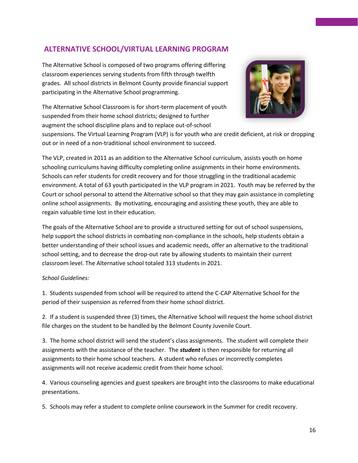#### **ALTERNATIVE SCHOOL/VIRTUAL LEARNING PROGRAM**

The Alternative School is composed of two programs offering differing classroom experiences serving students from fifth through twelfth grades. All school districts in Belmont County provide financial support participating in the Alternative School programming.

The Alternative School Classroom is for short-term placement of youth suspended from their home school districts; designed to further augment the school discipline plans and to replace out-of-school



suspensions. The Virtual Learning Program (VLP) is for youth who are credit deficient, at risk or dropping out or in need of a non-traditional school environment to succeed.

The VLP, created in 2011 as an addition to the Alternative School curriculum, assists youth on home schooling curriculums having difficulty completing online assignments in their home environments. Schools can refer students for credit recovery and for those struggling in the traditional academic environment. A total of 63 youth participated in the VLP program in 2021. Youth may be referred by the Court or school personal to attend the Alternative school so that they may gain assistance in completing online school assignments. By motivating, encouraging and assisting these youth, they are able to regain valuable time lost in their education.

The goals of the Alternative School are to provide a structured setting for out of school suspensions, help support the school districts in combating non-compliance in the schools, help students obtain a better understanding of their school issues and academic needs, offer an alternative to the traditional school setting, and to decrease the drop-out rate by allowing students to maintain their current classroom level. The Alternative school totaled 313 students in 2021.

#### *School Guidelines:*

1. Students suspended from school will be required to attend the C-CAP Alternative School for the period of their suspension as referred from their home school district.

2. If a student is suspended three (3) times, the Alternative School will request the home school district file charges on the student to be handled by the Belmont County Juvenile Court.

3. The home school district will send the student's class assignments. The student will complete their assignments with the assistance of the teacher. The *student* is then responsible for returning all assignments to their home school teachers. A student who refuses or incorrectly completes assignments will not receive academic credit from their home school.

4. Various counseling agencies and guest speakers are brought into the classrooms to make educational presentations.

5. Schools may refer a student to complete online coursework in the Summer for credit recovery.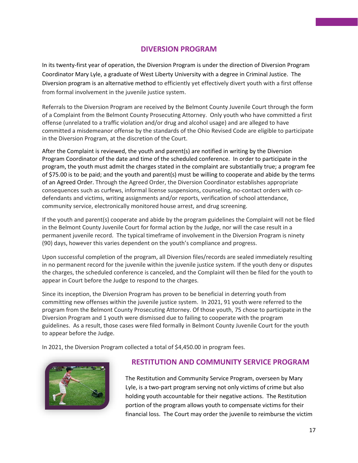#### **DIVERSION PROGRAM**

In its twenty-first year of operation, the Diversion Program is under the direction of Diversion Program Coordinator Mary Lyle, a graduate of West Liberty University with a degree in Criminal Justice. The Diversion program is an alternative method to efficiently yet effectively divert youth with a first offense from formal involvement in the juvenile justice system.

Referrals to the Diversion Program are received by the Belmont County Juvenile Court through the form of a Complaint from the Belmont County Prosecuting Attorney. Only youth who have committed a first offense (unrelated to a traffic violation and/or drug and alcohol usage) and are alleged to have committed a misdemeanor offense by the standards of the Ohio Revised Code are eligible to participate in the Diversion Program, at the discretion of the Court.

After the Complaint is reviewed, the youth and parent(s) are notified in writing by the Diversion Program Coordinator of the date and time of the scheduled conference. In order to participate in the program, the youth must admit the charges stated in the complaint are substantially true; a program fee of \$75.00 is to be paid; and the youth and parent(s) must be willing to cooperate and abide by the terms of an Agreed Order. Through the Agreed Order, the Diversion Coordinator establishes appropriate consequences such as curfews, informal license suspensions, counseling, no-contact orders with codefendants and victims, writing assignments and/or reports, verification of school attendance, community service, electronically monitored house arrest, and drug screening.

If the youth and parent(s) cooperate and abide by the program guidelines the Complaint will not be filed in the Belmont County Juvenile Court for formal action by the Judge, nor will the case result in a permanent juvenile record. The typical timeframe of involvement in the Diversion Program is ninety (90) days, however this varies dependent on the youth's compliance and progress.

Upon successful completion of the program, all Diversion files/records are sealed immediately resulting in no permanent record for the juvenile within the juvenile justice system. If the youth deny or disputes the charges, the scheduled conference is canceled, and the Complaint will then be filed for the youth to appear in Court before the Judge to respond to the charges.

Since its inception, the Diversion Program has proven to be beneficial in deterring youth from committing new offenses within the juvenile justice system. In 2021, 91 youth were referred to the program from the Belmont County Prosecuting Attorney. Of those youth, 75 chose to participate in the Diversion Program and 1 youth were dismissed due to failing to cooperate with the program guidelines. As a result, those cases were filed formally in Belmont County Juvenile Court for the youth to appear before the Judge.

In 2021, the Diversion Program collected a total of \$4,450.00 in program fees.



#### **RESTITUTION AND COMMUNITY SERVICE PROGRAM**

The Restitution and Community Service Program, overseen by Mary Lyle, is a two-part program serving not only victims of crime but also holding youth accountable for their negative actions. The Restitution portion of the program allows youth to compensate victims for their financial loss. The Court may order the juvenile to reimburse the victim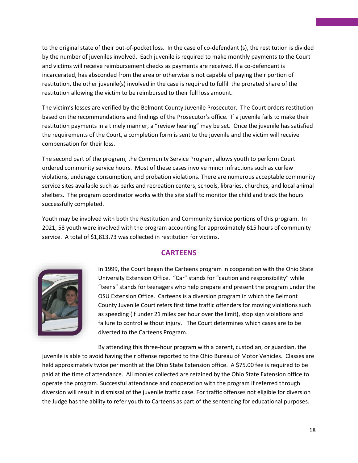to the original state of their out-of-pocket loss. In the case of co-defendant (s), the restitution is divided by the number of juveniles involved. Each juvenile is required to make monthly payments to the Court and victims will receive reimbursement checks as payments are received. If a co-defendant is incarcerated, has absconded from the area or otherwise is not capable of paying their portion of restitution, the other juvenile(s) involved in the case is required to fulfill the prorated share of the restitution allowing the victim to be reimbursed to their full loss amount.

The victim's losses are verified by the Belmont County Juvenile Prosecutor. The Court orders restitution based on the recommendations and findings of the Prosecutor's office. If a juvenile fails to make their restitution payments in a timely manner, a "review hearing" may be set. Once the juvenile has satisfied the requirements of the Court, a completion form is sent to the juvenile and the victim will receive compensation for their loss.

The second part of the program, the Community Service Program, allows youth to perform Court ordered community service hours. Most of these cases involve minor infractions such as curfew violations, underage consumption, and probation violations. There are numerous acceptable community service sites available such as parks and recreation centers, schools, libraries, churches, and local animal shelters. The program coordinator works with the site staff to monitor the child and track the hours successfully completed.

Youth may be involved with both the Restitution and Community Service portions of this program. In 2021, 58 youth were involved with the program accounting for approximately 615 hours of community service. A total of \$1,813.73 was collected in restitution for victims.

#### **CARTEENS**



In 1999, the Court began the Carteens program in cooperation with the Ohio State University Extension Office. "Car" stands for "caution and responsibility" while "teens" stands for teenagers who help prepare and present the program under the OSU Extension Office. Carteens is a diversion program in which the Belmont County Juvenile Court refers first time traffic offenders for moving violations such as speeding (if under 21 miles per hour over the limit), stop sign violations and failure to control without injury. The Court determines which cases are to be diverted to the Carteens Program.

By attending this three-hour program with a parent, custodian, or guardian, the ju[venile](https://themommaven.com/2009/06/teen-driving-safety/) is able to avoid having their offense reported to the Ohio Bureau of Motor Vehicles. Classes are he[ld a](https://themommaven.com/2009/06/teen-driving-safety/)pproximately twice per month at the Ohio State Extension office. A \$75.00 fee is required to be paid at the time of attendance. All monies collected are retained by the Ohio State Extension office to operate the program. Successful attendance and cooperation with the program if referred through diversion will result in dismissal of the juvenile traffic case. For traffic offenses not eligible for diversion the Judge has the ability to refer youth to Carteens as part of the sentencing for educational purposes.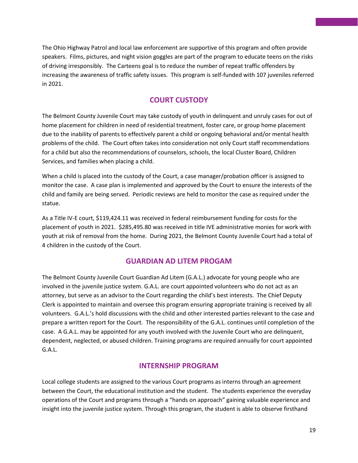The Ohio Highway Patrol and local law enforcement are supportive of this program and often provide speakers. Films, pictures, and night vision goggles are part of the program to educate teens on the risks of driving irresponsibly. The Carteens goal is to reduce the number of repeat traffic offenders by increasing the awareness of traffic safety issues. This program is self-funded with 107 juveniles referred in 2021.

#### **COURT CUSTODY**

The Belmont County Juvenile Court may take custody of youth in delinquent and unruly cases for out of home placement for children in need of residential treatment, foster care, or group home placement due to the inability of parents to effectively parent a child or ongoing behavioral and/or mental health problems of the child. The Court often takes into consideration not only Court staff recommendations for a child but also the recommendations of counselors, schools, the local Cluster Board, Children Services, and families when placing a child.

When a child is placed into the custody of the Court, a case manager/probation officer is assigned to monitor the case. A case plan is implemented and approved by the Court to ensure the interests of the child and family are being served. Periodic reviews are held to monitor the case as required under the statue.

As a Title IV-E court, \$119,424.11 was received in federal reimbursement funding for costs for the placement of youth in 2021. \$285,495.80 was received in title IVE administrative monies for work with youth at risk of removal from the home. During 2021, the Belmont County Juvenile Court had a total of 4 children in the custody of the Court.

#### **GUARDIAN AD LITEM PROGAM**

The Belmont County Juvenile Court Guardian Ad Litem (G.A.L.) advocate for young people who are involved in the juvenile justice system. G.A.L. are court appointed volunteers who do not act as an attorney, but serve as an advisor to the Court regarding the child's best interests. The Chief Deputy Clerk is appointed to maintain and oversee this program ensuring appropriate training is received by all volunteers. G.A.L.'s hold discussions with the child and other interested parties relevant to the case and prepare a written report for the Court. The responsibility of the G.A.L. continues until completion of the case. A G.A.L. may be appointed for any youth involved with the Juvenile Court who are delinquent, dependent, neglected, or abused children. Training programs are required annually for court appointed G.A.L.

#### **INTERNSHIP PROGRAM**

Local college students are assigned to the various Court programs as interns through an agreement between the Court, the educational institution and the student. The students experience the everyday operations of the Court and programs through a "hands on approach" gaining valuable experience and insight into the juvenile justice system. Through this program, the student is able to observe firsthand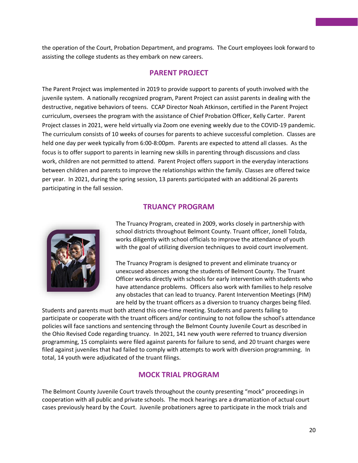the operation of the Court, Probation Department, and programs. The Court employees look forward to assisting the college students as they embark on new careers.

#### **PARENT PROJECT**

The Parent Project was implemented in 2019 to provide support to parents of youth involved with the juvenile system. A nationally recognized program, Parent Project can assist parents in dealing with the destructive, negative behaviors of teens. CCAP Director Noah Atkinson, certified in the Parent Project curriculum, oversees the program with the assistance of Chief Probation Officer, Kelly Carter. Parent Project classes in 2021, were held virtually via Zoom one evening weekly due to the COVID-19 pandemic. The curriculum consists of 10 weeks of courses for parents to achieve successful completion. Classes are held one day per week typically from 6:00-8:00pm. Parents are expected to attend all classes. As the focus is to offer support to parents in learning new skills in parenting through discussions and class work, children are not permitted to attend. Parent Project offers support in the everyday interactions between children and parents to improve the relationships within the family. Classes are offered twice per year. In 2021, during the spring session, 13 parents participated with an additional 26 parents participating in the fall session.

#### **TRUANCY PROGRAM**



The Truancy Program, created in 2009, works closely in partnership with school districts throughout Belmont County. Truant officer, Jonell Tolzda, works diligently with school officials to improve the attendance of youth with the goal of utilizing diversion techniques to avoid court involvement.

The Truancy Program is designed to prevent and eliminate truancy or unexcused absences among the students of Belmont County. The Truant Officer works directly with schools for early intervention with students who have attendance problems. Officers also work with families to help resolve any obstacles that can lead to truancy. Parent Intervention Meetings (PIM) are held by the truant officers as a diversion to truancy charges being filed.

Students and parents must both attend this one-time meeting. Students and parents failing to participate or cooperate with the truant officers and/or continuing to not follow the school's attendance policies will face sanctions and sentencing through the Belmont County Juvenile Court as described in the Ohio Revised Code regarding truancy. In 2021, 141 new youth were referred to truancy diversion programming, 15 complaints were filed against parents for failure to send, and 20 truant charges were filed against juveniles that had failed to comply with attempts to work with diversion programming. In total, 14 youth were adjudicated of the truant filings.

#### **MOCK TRIAL PROGRAM**

The Belmont County Juvenile Court travels throughout the county presenting "mock" proceedings in cooperation with all public and private schools. The mock hearings are a dramatization of actual court cases previously heard by the Court. Juvenile probationers agree to participate in the mock trials and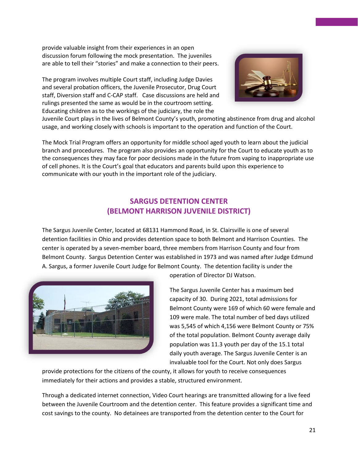provide valuable insight from their experiences in an open discussion forum following the mock presentation. The juveniles are able to tell their "stories" and make a connection to their peers.

The program involves multiple Court staff, including Judge Davies and several probation officers, the Juvenile Prosecutor, Drug Court staff, Diversion staff and C-CAP staff. Case discussions are held and rulings presented the same as would be in the courtroom setting. Educating children as to the workings of the judiciary, the role the



Juvenile Court plays in the lives of Belmont County's youth, promoting abstinence from drug and alcohol usage, and working closely with schools is important to the operation and function of the Court.

The Mock Trial Program offers an opportunity for middle school aged youth to learn about the judicial branch and procedures. The program also provides an opportunity for the Court to educate youth as to the consequences they may face for poor decisions made in the future from vaping to inappropriate use of cell phones. It is the Court's goal that educators and parents build upon this experience to communicate with our youth in the important role of the judiciary.

#### **SARGUS DETENTION CENTER (BELMONT HARRISON JUVENILE DISTRICT)**

The Sargus Juvenile Center, located at 68131 Hammond Road, in St. Clairsville is one of several detention facilities in Ohio and provides detention space to both Belmont and Harrison Counties. The center is operated by a seven-member board, three members from Harrison County and four from Belmont County. Sargus Detention Center was established in 1973 and was named after Judge Edmund A. Sargus, a former Juvenile Court Judge for Belmont County. The detention facility is under the



operation of Director DJ Watson.

The Sargus Juvenile Center has a maximum bed capacity of 30. During 2021, total admissions for Belmont County were 169 of which 60 were female and 109 were male. The total number of bed days utilized was 5,545 of which 4,156 were Belmont County or 75% of the total population. Belmont County average daily population was 11.3 youth per day of the 15.1 total daily youth average. The Sargus Juvenile Center is an invaluable tool for the Court. Not only does Sargus

provide protections for the citizens of the county, it allows for youth to receive consequences immediately for their actions and provides a stable, structured environment.

Through a dedicated internet connection, Video Court hearings are transmitted allowing for a live feed between the Juvenile Courtroom and the detention center. This feature provides a significant time and cost savings to the county. No detainees are transported from the detention center to the Court for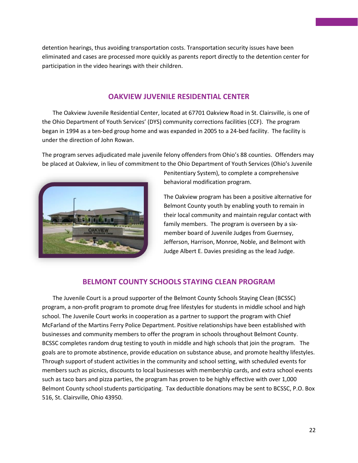detention hearings, thus avoiding transportation costs. Transportation security issues have been eliminated and cases are processed more quickly as parents report directly to the detention center for participation in the video hearings with their children.

#### **OAKVIEW JUVENILE RESIDENTIAL CENTER**

The Oakview Juvenile Residential Center, located at 67701 Oakview Road in St. Clairsville, is one of the Ohio Department of Youth Services' (DYS) community corrections facilities (CCF). The program began in 1994 as a ten-bed group home and was expanded in 2005 to a 24-bed facility. The facility is under the direction of John Rowan.

The program serves adjudicated male juvenile felony offenders from Ohio's 88 counties. Offenders may be placed at Oakview, in lieu of commitment to the Ohio Department of Youth Services (Ohio's Juvenile



Penitentiary System), to complete a comprehensive behavioral modification program.

The Oakview program has been a positive alternative for Belmont County youth by enabling youth to remain in their local community and maintain regular contact with family members. The program is overseen by a sixmember board of Juvenile Judges from Guernsey, Jefferson, Harrison, Monroe, Noble, and Belmont with Judge Albert E. Davies presiding as the lead Judge.

#### **BELMONT COUNTY SCHOOLS STAYING CLEAN PROGRAM**

The Juvenile Court is a proud supporter of the Belmont County Schools Staying Clean (BCSSC) program, a non-profit program to promote drug free lifestyles for students in middle school and high school. The Juvenile Court works in cooperation as a partner to support the program with Chief McFarland of the Martins Ferry Police Department. Positive relationships have been established with businesses and community members to offer the program in schools throughout Belmont County. BCSSC completes random drug testing to youth in middle and high schools that join the program. The goals are to promote abstinence, provide education on substance abuse, and promote healthy lifestyles. Through support of student activities in the community and school setting, with scheduled events for members such as picnics, discounts to local businesses with membership cards, and extra school events such as taco bars and pizza parties, the program has proven to be highly effective with over 1,000 Belmont County school students participating. Tax deductible donations may be sent to BCSSC, P.O. Box 516, St. Clairsville, Ohio 43950.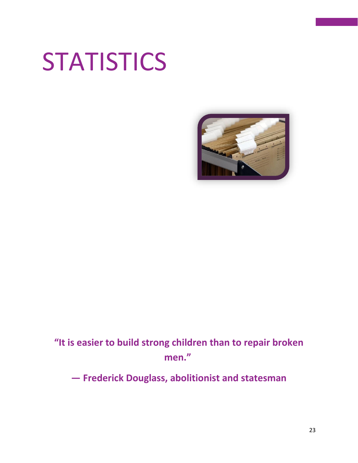# **STATISTICS**



## **"It is easier to build strong children than to repair broken men."**

**— Frederick Douglass, abolitionist and statesman**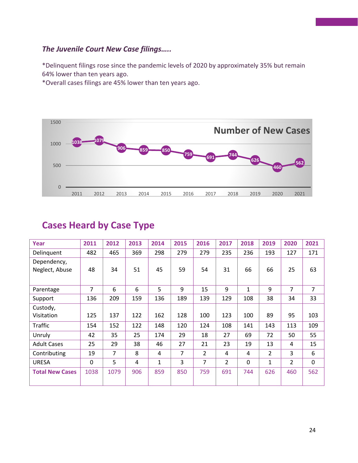#### *The Juvenile Court New Case filings…..*

\*Delinquent filings rose since the pandemic levels of 2020 by approximately 35% but remain 64% lower than ten years ago.

\*Overall cases filings are 45% lower than ten years ago.



## **Cases Heard by Case Type**

| Year                   | 2011 | 2012 | 2013 | 2014 | 2015 | 2016 | 2017           | 2018         | 2019           | 2020 | 2021           |
|------------------------|------|------|------|------|------|------|----------------|--------------|----------------|------|----------------|
| Delinquent             | 482  | 465  | 369  | 298  | 279  | 279  | 235            | 236          | 193            | 127  | 171            |
| Dependency,            |      |      |      |      |      |      |                |              |                |      |                |
| Neglect, Abuse         | 48   | 34   | 51   | 45   | 59   | 54   | 31             | 66           | 66             | 25   | 63             |
|                        |      |      |      |      |      |      |                |              |                |      |                |
| Parentage              | 7    | 6    | 6    | 5    | 9    | 15   | 9              | $\mathbf{1}$ | 9              | 7    | $\overline{7}$ |
| Support                | 136  | 209  | 159  | 136  | 189  | 139  | 129            | 108          | 38             | 34   | 33             |
| Custody,               |      |      |      |      |      |      |                |              |                |      |                |
| Visitation             | 125  | 137  | 122  | 162  | 128  | 100  | 123            | 100          | 89             | 95   | 103            |
| Traffic                | 154  | 152  | 122  | 148  | 120  | 124  | 108            | 141          | 143            | 113  | 109            |
| Unruly                 | 42   | 35   | 25   | 174  | 29   | 18   | 27             | 69           | 72             | 50   | 55             |
| <b>Adult Cases</b>     | 25   | 29   | 38   | 46   | 27   | 21   | 23             | 19           | 13             | 4    | 15             |
| Contributing           | 19   | 7    | 8    | 4    | 7    | 2    | 4              | 4            | $\overline{2}$ | 3    | 6              |
| <b>URESA</b>           | 0    | 5    | 4    | 1    | 3    | 7    | $\overline{2}$ | $\Omega$     | 1              | 2    | $\mathbf 0$    |
| <b>Total New Cases</b> | 1038 | 1079 | 906  | 859  | 850  | 759  | 691            | 744          | 626            | 460  | 562            |
|                        |      |      |      |      |      |      |                |              |                |      |                |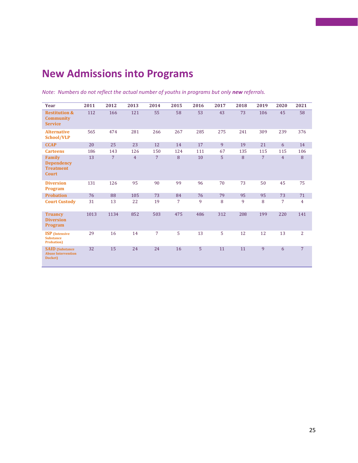## **New Admissions into Programs**

| Year                                                            | 2011 | 2012           | 2013           | 2014           | 2015 | 2016 | 2017 | 2018 | 2019           | 2020           | 2021           |
|-----------------------------------------------------------------|------|----------------|----------------|----------------|------|------|------|------|----------------|----------------|----------------|
| <b>Restitution &amp;</b><br><b>Community</b><br><b>Service</b>  | 112  | 166            | 121            | 55             | 58   | 53   | 43   | 73   | 106            | 45             | 58             |
| <b>Alternative</b><br>School/VLP                                | 565  | 474            | 281            | 266            | 267  | 285  | 275  | 241  | 309            | 239            | 376            |
| <b>CCAP</b>                                                     | 20   | 25             | 23             | 12             | 14   | 17   | 9    | 19   | 21             | 6              | 14             |
| <b>Carteens</b>                                                 | 186  | 143            | 126            | 150            | 124  | 111  | 67   | 135  | 115            | 115            | 106            |
| Family<br><b>Dependency</b><br><b>Treatment</b><br><b>Court</b> | 13   | $\overline{7}$ | $\overline{4}$ | $\overline{7}$ | 8    | 10   | 5    | 8    | $\overline{7}$ | $\overline{4}$ | 8              |
| <b>Diversion</b><br><b>Program</b>                              | 131  | 126            | 95             | 90             | 99   | 96   | 70   | 73   | 50             | 45             | 75             |
| <b>Probation</b>                                                | 76   | 88             | 105            | 73             | 84   | 76   | 79   | 95   | 95             | 73             | 71             |
| <b>Court Custody</b>                                            | 31   | 13             | 22             | 19             | 7    | 9    | 8    | 9    | 8              | $\overline{7}$ | $\overline{4}$ |
| <b>Truancy</b><br><b>Diversion</b><br><b>Program</b>            | 1013 | 1134           | 852            | 503            | 475  | 486  | 312  | 208  | 199            | 220            | 141            |
| <b>ISP</b> (Intensive<br><b>Substance</b><br><b>Probation</b> ) | 29   | 16             | 14             | $\overline{7}$ | 5    | 13   | 5    | 12   | 12             | 13             | $\overline{2}$ |
| <b>SAID</b> (Substance<br><b>Abuse Intervention</b><br>Docket)  | 32   | 15             | 24             | 24             | 16   | 5    | 11   | 11   | 9              | 6              | $\overline{7}$ |

*Note: Numbers do not reflect the actual number of youths in programs but only new referrals.*